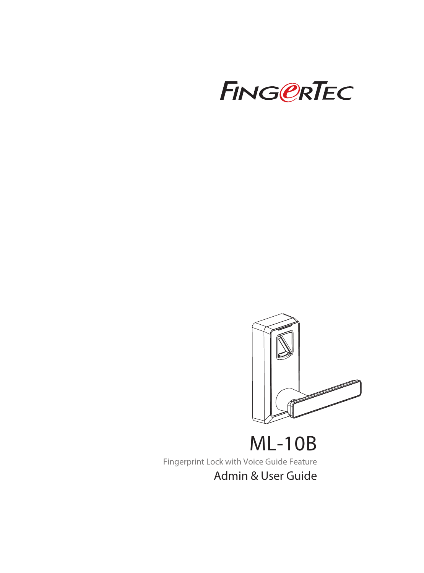



ML-10B Fingerprint Lock with Voice Guide Feature Admin & User Guide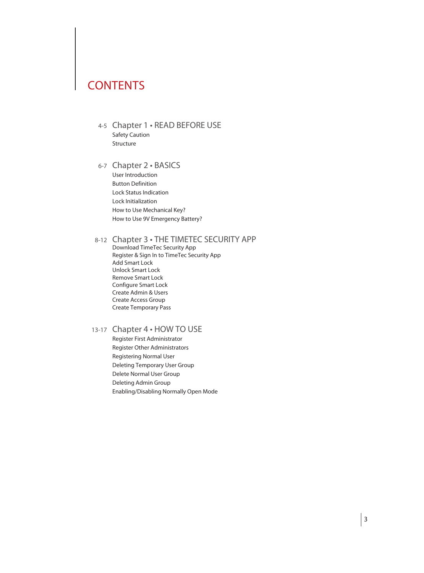## **CONTENTS**

- 4-5 Chapter 1 READ BEFORE USE Safety Caution Structure
- 6-7 Chapter 2 BASICS User Introduction Button Definition Lock Status Indication

 Lock Initialization How to Use Mechanical Key? How to Use 9V Emergency Battery?

#### 8-12 Chapter 3 • THE TIMETEC SECURITY APP

 Download TimeTec Security App Register & Sign In to TimeTec Security App Add Smart Lock Unlock Smart Lock Remove Smart Lock Configure Smart Lock Create Admin & Users Create Access Group Create Temporary Pass

#### 13-17 Chapter 4 · HOW TO USE

 Register First Administrator Register Other Administrators Registering Normal User Deleting Temporary User Group Delete Normal User Group Deleting Admin Group Enabling/Disabling Normally Open Mode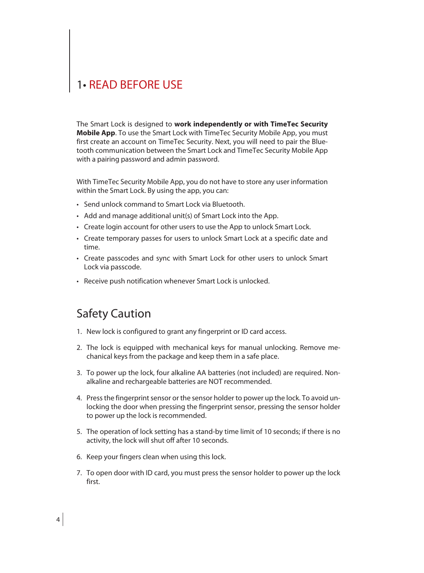## 1• READ BEFORE USE

The Smart Lock is designed to **work independently or with TimeTec Security Mobile App**. To use the Smart Lock with TimeTec Security Mobile App, you must first create an account on TimeTec Security. Next, you will need to pair the Bluetooth communication between the Smart Lock and TimeTec Security Mobile App with a pairing password and admin password.

With TimeTec Security Mobile App, you do not have to store any user information within the Smart Lock. By using the app, you can:

- Send unlock command to Smart Lock via Bluetooth.
- Add and manage additional unit(s) of Smart Lock into the App.
- Create login account for other users to use the App to unlock Smart Lock.
- Create temporary passes for users to unlock Smart Lock at a specific date and time.
- Create passcodes and sync with Smart Lock for other users to unlock Smart Lock via passcode.
- Receive push notification whenever Smart Lock is unlocked.

## Safety Caution

- 1. New lock is configured to grant any fingerprint or ID card access.
- 2. The lock is equipped with mechanical keys for manual unlocking. Remove mechanical keys from the package and keep them in a safe place.
- 3. To power up the lock, four alkaline AA batteries (not included) are required. Nonalkaline and rechargeable batteries are NOT recommended.
- 4. Press the fingerprint sensor or the sensor holder to power up the lock. To avoid unlocking the door when pressing the fingerprint sensor, pressing the sensor holder to power up the lock is recommended.
- 5. The operation of lock setting has a stand-by time limit of 10 seconds; if there is no activity, the lock will shut off after 10 seconds.
- 6. Keep your fingers clean when using this lock.
- 7. To open door with ID card, you must press the sensor holder to power up the lock first.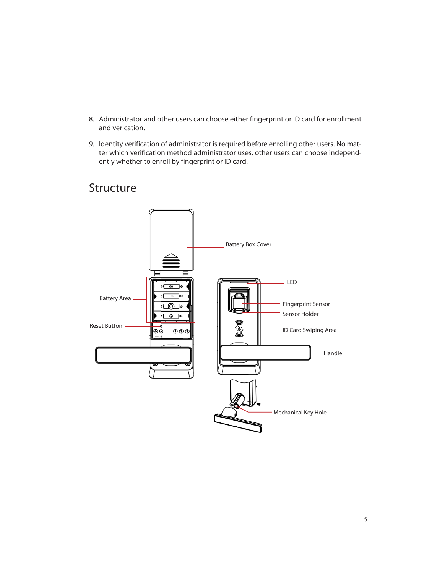- 8. Administrator and other users can choose either fingerprint or ID card for enrollment and verication.
- 9. Identity verification of administrator is required before enrolling other users. No matter which verification method administrator uses, other users can choose independently whether to enroll by fingerprint or ID card.

### Battery Box Cover - LED  $\circ$   $\circ$   $\circ$ न ร∘ Battery AreaFingerprint Sensor ௵ Sensor Holder  $\overline{\circ}$ Reset Button ۰  $000$ ID Card Swiping Area ⊛⊙ - Handle Mechanical Key Hole

### Structure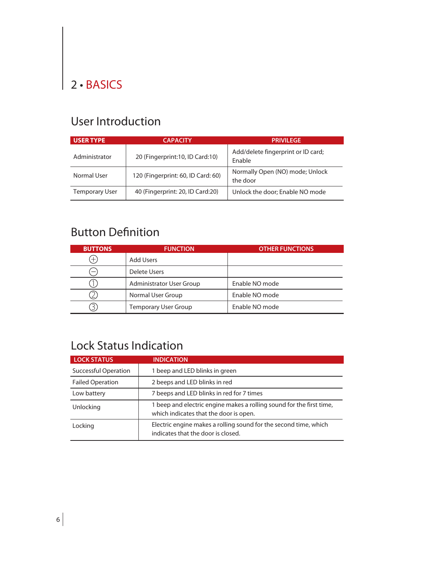## 2 • BASICS

## User Introduction

| <b>USER TYPE</b>      | <b>CAPACITY</b>                    | <b>PRIVILEGE</b>                             |
|-----------------------|------------------------------------|----------------------------------------------|
| Administrator         | 20 (Fingerprint: 10, ID Card: 10)  | Add/delete fingerprint or ID card;<br>Enable |
| Normal User           | 120 (Fingerprint: 60, ID Card: 60) | Normally Open (NO) mode; Unlock<br>the door  |
| <b>Temporary User</b> | 40 (Fingerprint: 20, ID Card: 20)  | Unlock the door; Enable NO mode              |

## Button Definition

| <b>BUTTONS</b> | <b>FUNCTION</b>                 | <b>OTHER FUNCTIONS</b> |
|----------------|---------------------------------|------------------------|
| Ŧ              | Add Users                       |                        |
| –              | Delete Users                    |                        |
|                | <b>Administrator User Group</b> | Enable NO mode         |
|                | Normal User Group               | Enable NO mode         |
|                | <b>Temporary User Group</b>     | Enable NO mode         |

## Lock Status Indication

| <b>LOCK STATUS</b>          | <b>INDICATION</b>                                                                                              |  |
|-----------------------------|----------------------------------------------------------------------------------------------------------------|--|
| <b>Successful Operation</b> | 1 beep and LED blinks in green                                                                                 |  |
| <b>Failed Operation</b>     | 2 beeps and LED blinks in red                                                                                  |  |
| Low battery                 | 7 beeps and LED blinks in red for 7 times                                                                      |  |
| Unlocking                   | 1 beep and electric engine makes a rolling sound for the first time,<br>which indicates that the door is open. |  |
| Locking                     | Electric engine makes a rolling sound for the second time, which<br>indicates that the door is closed.         |  |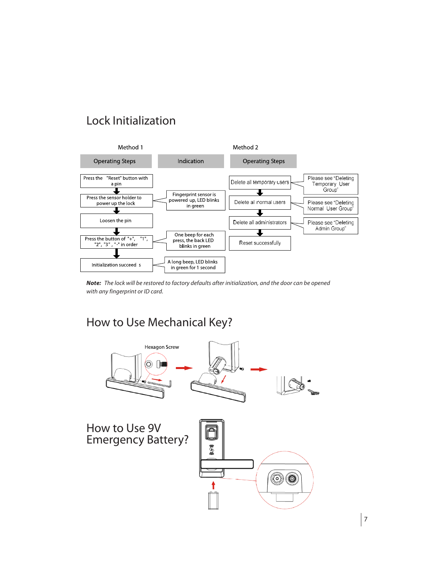## Lock Initialization



*Note: The lock will be restored to factory defaults after initialization, and the door can be opened with any fingerprint or ID card.*

## How to Use Mechanical Key?

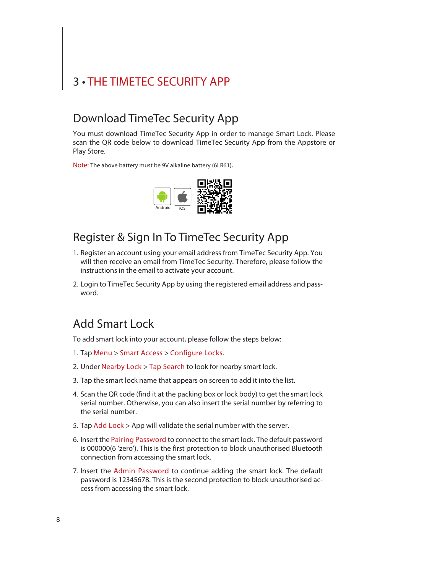# 3 • THE TIMETEC SECURITY APP

### Download TimeTec Security App

You must download TimeTec Security App in order to manage Smart Lock. Please scan the QR code below to download TimeTec Security App from the Appstore or Play Store.

Note: The above battery must be 9V alkaline battery (6LR61). 



## Register & Sign In To TimeTec Security App

- 1. Register an account using your email address from TimeTec Security App. You will then receive an email from TimeTec Security. Therefore, please follow the instructions in the email to activate your account.
- 2. Login to TimeTec Security App by using the registered email address and password.

### Add Smart Lock

To add smart lock into your account, please follow the steps below:

- 1. Tap Menu > Smart Access > Configure Locks.
- 2. Under Nearby Lock > Tap Search to look for nearby smart lock.
- 3. Tap the smart lock name that appears on screen to add it into the list.
- 4. Scan the QR code (find it at the packing box or lock body) to get the smart lock serial number. Otherwise, you can also insert the serial number by referring to the serial number.
- 5. Tap Add Lock > App will validate the serial number with the server.
- 6. Insert the Pairing Password to connect to the smart lock. The default password is 000000(6 'zero'). This is the first protection to block unauthorised Bluetooth connection from accessing the smart lock.
- 7. Insert the Admin Password to continue adding the smart lock. The default password is 12345678. This is the second protection to block unauthorised access from accessing the smart lock.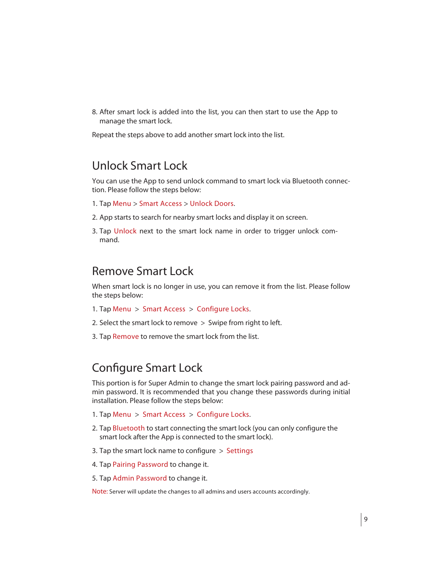8. After smart lock is added into the list, you can then start to use the App to manage the smart lock.

Repeat the steps above to add another smart lock into the list.

#### Unlock Smart Lock

You can use the App to send unlock command to smart lock via Bluetooth connection. Please follow the steps below:

- 1. Tap Menu > Smart Access > Unlock Doors.
- 2. App starts to search for nearby smart locks and display it on screen.
- 3. Tap Unlock next to the smart lock name in order to trigger unlock command.

#### Remove Smart Lock

When smart lock is no longer in use, you can remove it from the list. Please follow the steps below:

- 1. Tap Menu > Smart Access > Configure Locks.
- 2. Select the smart lock to remove  $>$  Swipe from right to left.
- 3. Tap Remove to remove the smart lock from the list.

#### Configure Smart Lock

This portion is for Super Admin to change the smart lock pairing password and admin password. It is recommended that you change these passwords during initial installation. Please follow the steps below:

- 1. Tap Menu > Smart Access > Configure Locks.
- 2. Tap Bluetooth to start connecting the smart lock (you can only configure the smart lock after the App is connected to the smart lock).
- 3. Tap the smart lock name to configure  $>$  Settings
- 4. Tap Pairing Password to change it.
- 5. Tap Admin Password to change it.

Note: Server will update the changes to all admins and users accounts accordingly.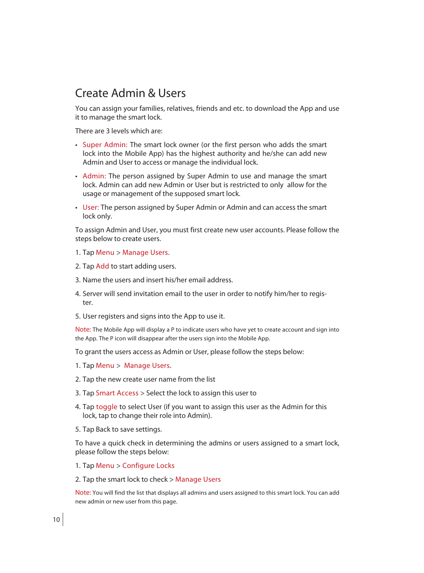## Create Admin & Users

You can assign your families, relatives, friends and etc. to download the App and use it to manage the smart lock.

There are 3 levels which are:

- Super Admin: The smart lock owner (or the first person who adds the smart lock into the Mobile App) has the highest authority and he/she can add new Admin and User to access or manage the individual lock.
- Admin: The person assigned by Super Admin to use and manage the smart lock. Admin can add new Admin or User but is restricted to only allow for the usage or management of the supposed smart lock.
- User: The person assigned by Super Admin or Admin and can access the smart lock only.

To assign Admin and User, you must first create new user accounts. Please follow the steps below to create users.

- 1. Tap Menu > Manage Users.
- 2. Tap Add to start adding users.
- 3. Name the users and insert his/her email address.
- 4. Server will send invitation email to the user in order to notify him/her to register.
- 5. User registers and signs into the App to use it.

Note: The Mobile App will display a P to indicate users who have yet to create account and sign into the App. The P icon will disappear after the users sign into the Mobile App.

To grant the users access as Admin or User, please follow the steps below:

- 1. Tap Menu > Manage Users.
- 2. Tap the new create user name from the list
- 3. Tap Smart Access > Select the lock to assign this user to
- 4. Tap toggle to select User (if you want to assign this user as the Admin for this lock, tap to change their role into Admin).
- 5. Tap Back to save settings.

To have a quick check in determining the admins or users assigned to a smart lock, please follow the steps below:

- 1. Tap Menu > Configure Locks
- 2. Tap the smart lock to check > Manage Users

Note: You will find the list that displays all admins and users assigned to this smart lock. You can add new admin or new user from this page.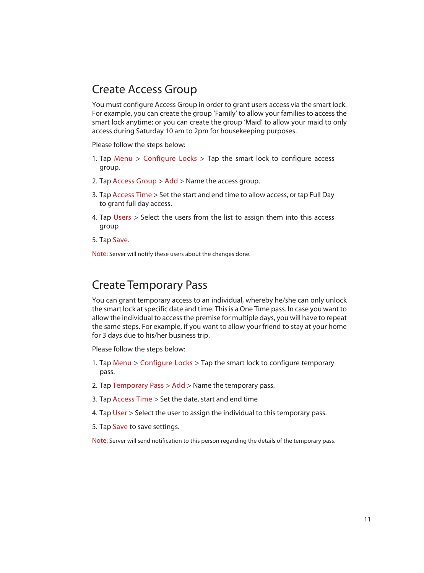## Create Access Group

You must configure Access Group in order to grant users access via the smart lock. For example, you can create the group 'Family' to allow your families to access the smart lock anytime; or you can create the group 'Maid' to allow your maid to only access during Saturday 10 am to 2pm for housekeeping purposes.

Please follow the steps below:

- 1. Tap Menu  $>$  Configure Locks  $>$  Tap the smart lock to configure access group.
- 2. Tap Access Group  $>$  Add  $>$  Name the access group.
- 3. Tap Access Time > Set the start and end time to allow access, or tap Full Day to grant full day access.
- 4. Tap Users  $>$  Select the users from the list to assign them into this access group
- 5. Tap Save.

Note: Server will notify these users about the changes done.

### Create Temporary Pass

You can grant temporary access to an individual, whereby he/she can only unlock the smart lock at specific date and time. This is a One Time pass. In case you want to allow the individual to accessthe premise for multiple days, you will have to repeat the same steps. For example, if you want to allow your friend to stay at your home for 3 days due to his/her business trip.

Please follow the steps below:

- 1. Tap Menu  $>$  Configure Locks  $>$  Tap the smart lock to configure temporary pass.
- 2. Tap Temporary Pass  $>$  Add  $>$  Name the temporary pass.
- 3. Tap Access Time > Set the date, start and end time
- 4. Tap User > Select the user to assign the individual to this temporary pass.
- 5. Tap Save to save settings.

Note: Server will send notification to this person regarding the details of the temporary pass.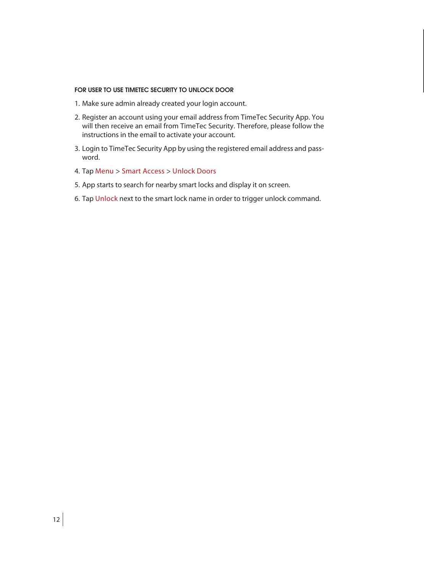#### FOR USER TO USE TIMETEC SECURITY TO UNLOCK DOOR

- 1. Make sure admin already created your login account.
- 2. Register an account using your email address from TimeTec Security App. You will then receive an email from TimeTec Security. Therefore, please follow the instructions in the email to activate your account.
- 3. Login to TimeTec Security App by using the registered email address and password.
- 4. Tap Menu > Smart Access > Unlock Doors
- 5. App starts to search for nearby smart locks and display it on screen.
- 6. Tap Unlock next to the smart lock name in order to trigger unlock command.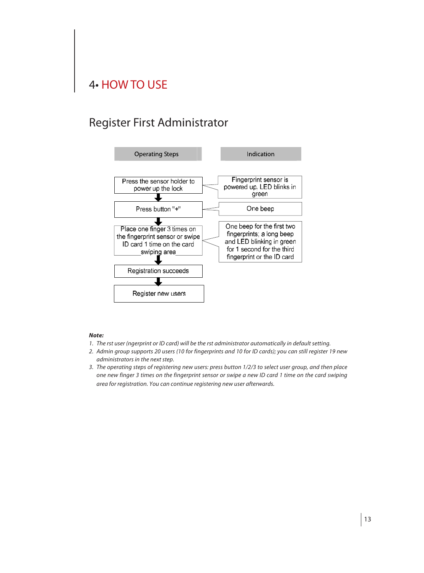## 4• HOW TO USE

## Register First Administrator



#### *Note:*

- *1. The rst user (ngerprint or ID card) will be the rst administrator automatically in default setting.*
- *2. Admin group supports 20 users (10 for fingerprints and 10 for ID cards); you can still register 19 new administrators in the next step.*
- *3. The operating steps of registering new users: press button 1/2/3 to select user group, and then place one new finger 3 times on the fingerprint sensor or swipe a new ID card 1 time on the card swiping area for registration. You can continue registering new user afterwards.*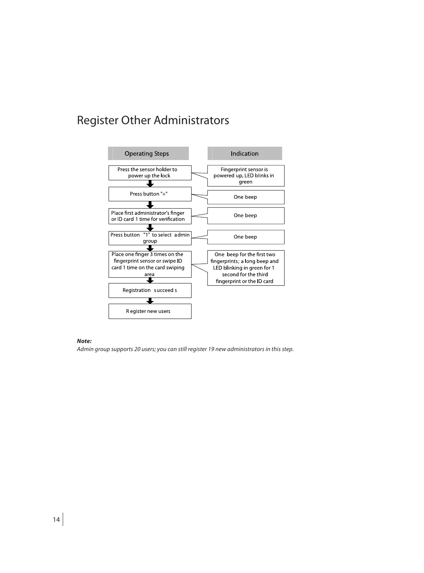## Register Other Administrators



#### *Note:*

*Admin group supports 20 users; you can still register 19 new administrators in this step.*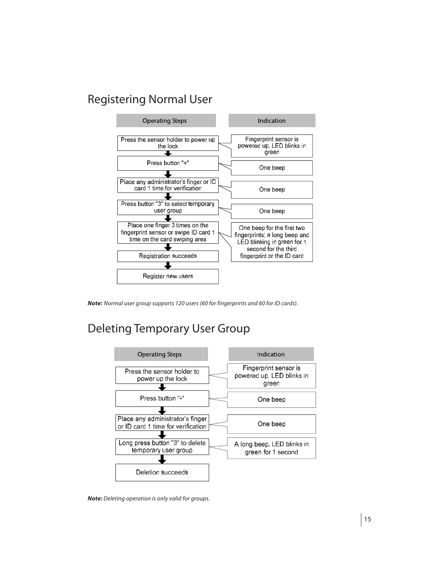## Registering Normal User



*Note: Normal user group supports 120 users (60 for fingerprints and 60 for ID cards).*

## Deleting Temporary User Group



*Note: Deleting operation is only valid for groups.*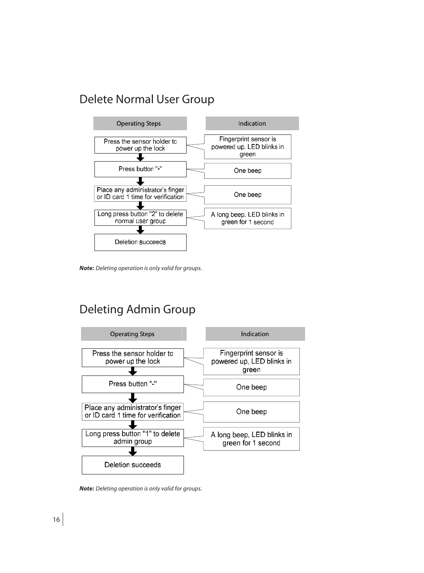## Delete Normal User Group



*Note: Deleting operation is only valid for groups.*

## Deleting Admin Group



*Note: Deleting operation is only valid for groups.*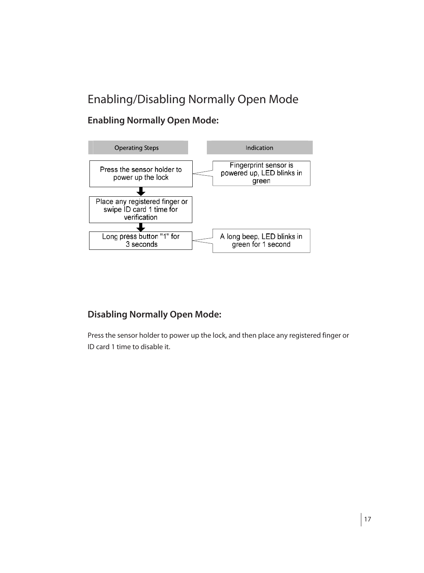## Enabling/Disabling Normally Open Mode

#### **Enabling Normally Open Mode:**



#### **Disabling Normally Open Mode:**

Press the sensor holder to power up the lock, and then place any registered finger or ID card 1 time to disable it.